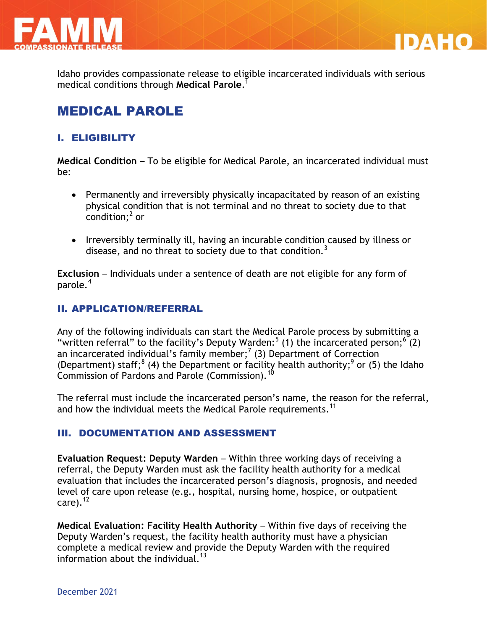

Idaho provides compassionate release to eligible incarcerated individuals with serious medical conditions through **Medical Parole**. 1

DA FIC

## MEDICAL PAROLE

## I. ELIGIBILITY

**Medical Condition** – To be eligible for Medical Parole, an incarcerated individual must be:

- Permanently and irreversibly physically incapacitated by reason of an existing physical condition that is not terminal and no threat to society due to that  $\frac{1}{2}$  condition;<sup>2</sup> or
- Irreversibly terminally ill, having an incurable condition caused by illness or disease, and no threat to society due to that condition.<sup>3</sup>

**Exclusion** – Individuals under a sentence of death are not eligible for any form of parole.<sup>4</sup>

### II. APPLICATION/REFERRAL

Any of the following individuals can start the Medical Parole process by submitting a "written referral" to the facility's Deputy Warden:<sup>5</sup> (1) the incarcerated person;<sup>6</sup> (2) an incarcerated individual's family member;<sup>7</sup> (3) Department of Correction (Department) staff;<sup>8</sup> (4) the Department or facility health authority;<sup>9</sup> or (5) the Idaho Commission of Pardons and Parole (Commission).

The referral must include the incarcerated person's name, the reason for the referral, and how the individual meets the Medical Parole requirements.<sup>11</sup>

### III. DOCUMENTATION AND ASSESSMENT

**Evaluation Request: Deputy Warden** – Within three working days of receiving a referral, the Deputy Warden must ask the facility health authority for a medical evaluation that includes the incarcerated person's diagnosis, prognosis, and needed level of care upon release (e.g., hospital, nursing home, hospice, or outpatient care). $^{12}$ 

**Medical Evaluation: Facility Health Authority** – Within five days of receiving the Deputy Warden's request, the facility health authority must have a physician complete a medical review and provide the Deputy Warden with the required information about the individual.<sup>13</sup>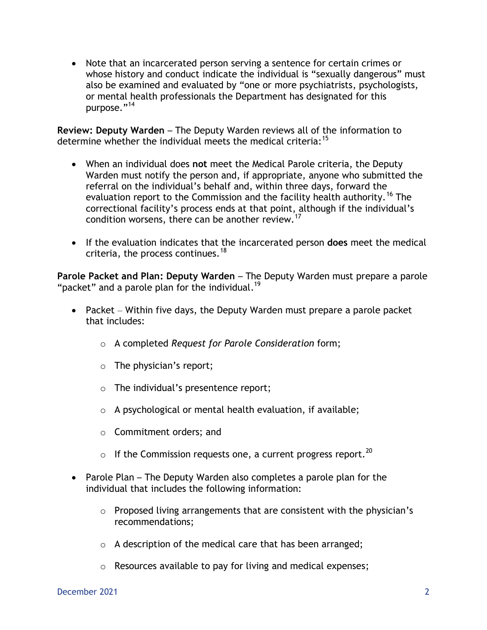Note that an incarcerated person serving a sentence for certain crimes or whose history and conduct indicate the individual is "sexually dangerous" must also be examined and evaluated by "one or more psychiatrists, psychologists, or mental health professionals the Department has designated for this purpose."<sup>14</sup>

**Review: Deputy Warden** – The Deputy Warden reviews all of the information to determine whether the individual meets the medical criteria:<sup>15</sup>

- When an individual does **not** meet the Medical Parole criteria, the Deputy Warden must notify the person and, if appropriate, anyone who submitted the referral on the individual's behalf and, within three days, forward the evaluation report to the Commission and the facility health authority.<sup>16</sup> The correctional facility's process ends at that point, although if the individual's condition worsens, there can be another review.<sup>17</sup>
- If the evaluation indicates that the incarcerated person **does** meet the medical criteria, the process continues.<sup>18</sup>

**Parole Packet and Plan: Deputy Warden** – The Deputy Warden must prepare a parole "packet" and a parole plan for the individual.<sup>19</sup>

- Packet Within five days, the Deputy Warden must prepare a parole packet that includes:
	- o A completed *Request for Parole Consideration* form;
	- o The physician's report;
	- o The individual's presentence report;
	- $\circ$  A psychological or mental health evaluation, if available;
	- o Commitment orders; and
	- $\circ$  If the Commission requests one, a current progress report.<sup>20</sup>
- Parole Plan The Deputy Warden also completes a parole plan for the individual that includes the following information:
	- $\circ$  Proposed living arrangements that are consistent with the physician's recommendations;
	- $\circ$  A description of the medical care that has been arranged;
	- o Resources available to pay for living and medical expenses;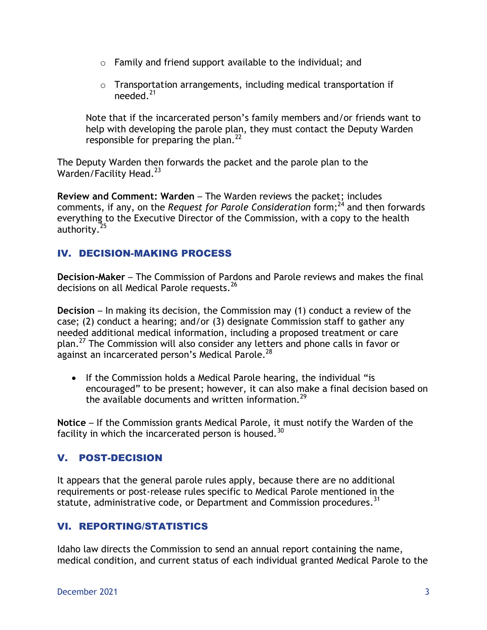- o Family and friend support available to the individual; and
- o Transportation arrangements, including medical transportation if needed. $21$

Note that if the incarcerated person's family members and/or friends want to help with developing the parole plan, they must contact the Deputy Warden responsible for preparing the plan.<sup>22</sup>

The Deputy Warden then forwards the packet and the parole plan to the Warden/Facility Head.<sup>23</sup>

**Review and Comment: Warden** – The Warden reviews the packet; includes comments, if any, on the *Request for Parole Consideration* form; <sup>24</sup> and then forwards everything to the Executive Director of the Commission, with a copy to the health authority.<sup>25</sup>

## IV. DECISION-MAKING PROCESS

**Decision-Maker** – The Commission of Pardons and Parole reviews and makes the final decisions on all Medical Parole requests.  $^{26}$ 

**Decision** – In making its decision, the Commission may (1) conduct a review of the case; (2) conduct a hearing; and/or (3) designate Commission staff to gather any needed additional medical information, including a proposed treatment or care plan.<sup>27</sup> The Commission will also consider any letters and phone calls in favor or against an incarcerated person's Medical Parole.<sup>28</sup>

• If the Commission holds a Medical Parole hearing, the individual "is encouraged" to be present; however, it can also make a final decision based on the available documents and written information. $^{29}$ 

**Notice** – If the Commission grants Medical Parole, it must notify the Warden of the facility in which the incarcerated person is housed. $30$ 

## V. POST-DECISION

It appears that the general parole rules apply, because there are no additional requirements or post-release rules specific to Medical Parole mentioned in the statute, administrative code, or Department and Commission procedures.<sup>31</sup>

## VI. REPORTING/STATISTICS

Idaho law directs the Commission to send an annual report containing the name, medical condition, and current status of each individual granted Medical Parole to the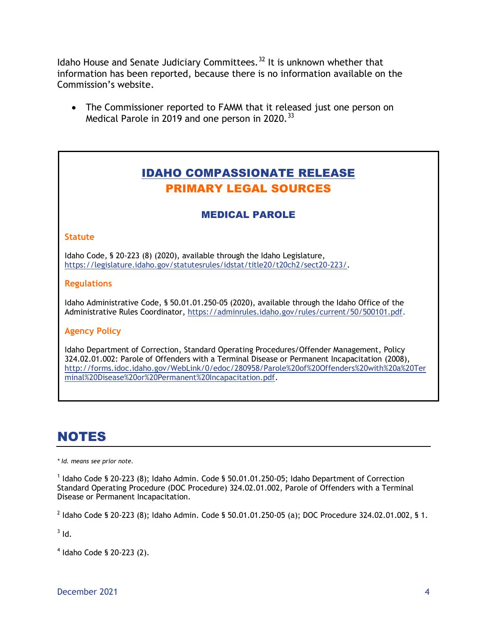Idaho House and Senate Judiciary Committees.<sup>32</sup> It is unknown whether that information has been reported, because there is no information available on the Commission's website.

 The Commissioner reported to FAMM that it released just one person on Medical Parole in 2019 and one person in 2020.<sup>33</sup>

## IDAHO COMPASSIONATE RELEASE PRIMARY LEGAL SOURCES

## MEDICAL PAROLE

#### **Statute**

Idaho Code, § 20-223 (8) (2020), available through the Idaho Legislature, [https://legislature.idaho.gov/statutesrules/idstat/title20/t20ch2/sect20-223/.](https://legislature.idaho.gov/statutesrules/idstat/title20/t20ch2/sect20-223/)

#### **Regulations**

Idaho Administrative Code, § 50.01.01.250-05 (2020), available through the Idaho Office of the Administrative Rules Coordinator, [https://adminrules.idaho.gov/rules/current/50/500101.pdf.](https://adminrules.idaho.gov/rules/current/50/500101.pdf)

### **Agency Policy**

Idaho Department of Correction, Standard Operating Procedures/Offender Management, Policy 324.02.01.002: Parole of Offenders with a Terminal Disease or Permanent Incapacitation (2008), [http://forms.idoc.idaho.gov/WebLink/0/edoc/280958/Parole%20of%20Offenders%20with%20a%20Ter](http://forms.idoc.idaho.gov/WebLink/0/edoc/280958/Parole%20of%20Offenders%20with%20a%20Terminal%20Disease%20or%20Permanent%20Incapacitation.pdf) [minal%20Disease%20or%20Permanent%20Incapacitation.pdf.](http://forms.idoc.idaho.gov/WebLink/0/edoc/280958/Parole%20of%20Offenders%20with%20a%20Terminal%20Disease%20or%20Permanent%20Incapacitation.pdf)

# NOTES

*\* Id. means see prior note.*

<sup>1</sup> Idaho Code § 20-223 (8); Idaho Admin. Code § 50.01.01.250-05; Idaho Department of Correction Standard Operating Procedure (DOC Procedure) 324.02.01.002, Parole of Offenders with a Terminal Disease or Permanent Incapacitation.

 $^2$  Idaho Code § 20-223 (8); Idaho Admin. Code § 50.01.01.250-05 (a); DOC Procedure 324.02.01.002, § 1.

 $3$  Id.

4 Idaho Code § 20-223 (2).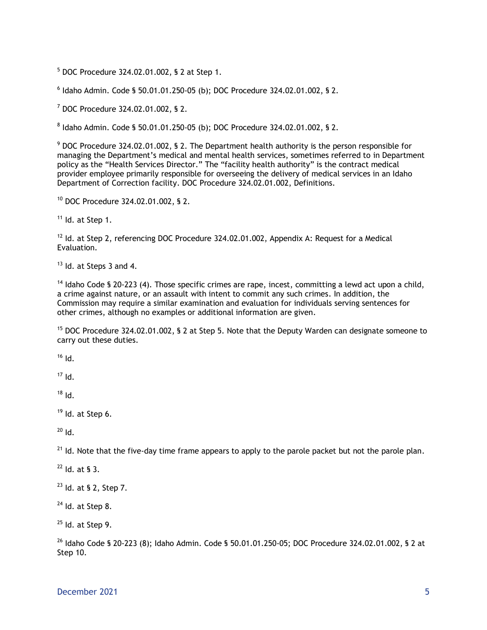<sup>5</sup> DOC Procedure 324.02.01.002, § 2 at Step 1.

6 Idaho Admin. Code § 50.01.01.250-05 (b); DOC Procedure 324.02.01.002, § 2.

<sup>7</sup> DOC Procedure 324.02.01.002, § 2.

8 Idaho Admin. Code § 50.01.01.250-05 (b); DOC Procedure 324.02.01.002, § 2.

<sup>9</sup> DOC Procedure 324.02.01.002, § 2. The Department health authority is the person responsible for managing the Department's medical and mental health services, sometimes referred to in Department policy as the "Health Services Director." The "facility health authority" is the contract medical provider employee primarily responsible for overseeing the delivery of medical services in an Idaho Department of Correction facility. DOC Procedure 324.02.01.002, Definitions.

<sup>10</sup> DOC Procedure 324.02.01.002, § 2.

 $11$  Id. at Step 1.

 $12$  Id. at Step 2, referencing DOC Procedure 324.02.01.002, Appendix A: Request for a Medical Evaluation.

 $13$  Id. at Steps 3 and 4.

 $14$  Idaho Code § 20-223 (4). Those specific crimes are rape, incest, committing a lewd act upon a child, a crime against nature, or an assault with intent to commit any such crimes. In addition, the Commission may require a similar examination and evaluation for individuals serving sentences for other crimes, although no examples or additional information are given.

<sup>15</sup> DOC Procedure 324.02.01.002, § 2 at Step 5. Note that the Deputy Warden can designate someone to carry out these duties.

 $16$  Id.

 $17$  Id.

 $18$  Id.

 $19$  Id. at Step 6.

 $20$  Id.

 $21$  Id. Note that the five-day time frame appears to apply to the parole packet but not the parole plan.

 $22$  Id. at § 3.

<sup>23</sup> Id. at § 2, Step 7.

 $24$  Id. at Step 8.

 $25$  Id. at Step 9.

 $^{26}$  Idaho Code § 20-223 (8); Idaho Admin. Code § 50.01.01.250-05; DOC Procedure 324.02.01.002, § 2 at Step 10.